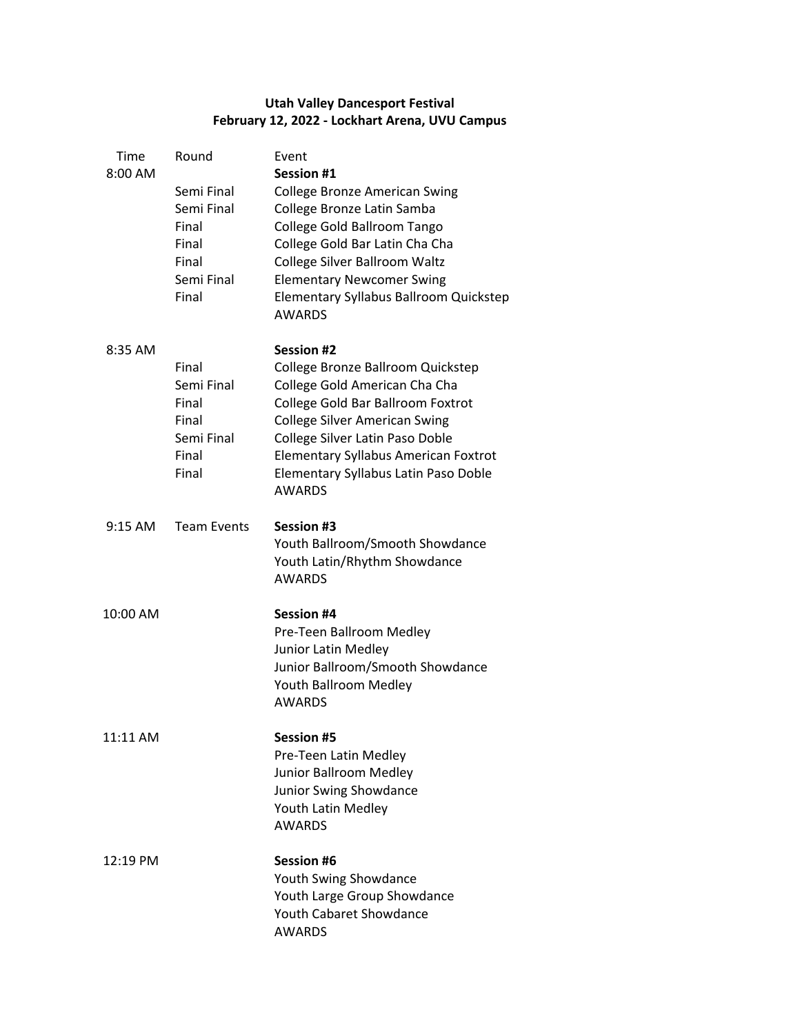## **Utah Valley Dancesport Festival February 12, 2022 - Lockhart Arena, UVU Campus**

| Time<br>8:00 AM | Round                                                                      | Event<br><b>Session #1</b>                                                                                                                                                                                                                                                                                      |
|-----------------|----------------------------------------------------------------------------|-----------------------------------------------------------------------------------------------------------------------------------------------------------------------------------------------------------------------------------------------------------------------------------------------------------------|
|                 | Semi Final<br>Semi Final<br>Final<br>Final<br>Final<br>Semi Final<br>Final | College Bronze American Swing<br>College Bronze Latin Samba<br>College Gold Ballroom Tango<br>College Gold Bar Latin Cha Cha<br>College Silver Ballroom Waltz<br><b>Elementary Newcomer Swing</b><br>Elementary Syllabus Ballroom Quickstep<br><b>AWARDS</b>                                                    |
| 8:35 AM         | Final<br>Semi Final<br>Final<br>Final<br>Semi Final<br>Final<br>Final      | <b>Session #2</b><br>College Bronze Ballroom Quickstep<br>College Gold American Cha Cha<br>College Gold Bar Ballroom Foxtrot<br><b>College Silver American Swing</b><br>College Silver Latin Paso Doble<br><b>Elementary Syllabus American Foxtrot</b><br>Elementary Syllabus Latin Paso Doble<br><b>AWARDS</b> |
| 9:15 AM         | <b>Team Events</b>                                                         | <b>Session #3</b><br>Youth Ballroom/Smooth Showdance<br>Youth Latin/Rhythm Showdance<br><b>AWARDS</b>                                                                                                                                                                                                           |
| 10:00 AM        |                                                                            | <b>Session #4</b><br>Pre-Teen Ballroom Medley<br>Junior Latin Medley<br>Junior Ballroom/Smooth Showdance<br>Youth Ballroom Medley<br><b>AWARDS</b>                                                                                                                                                              |
| 11:11 AM        |                                                                            | <b>Session #5</b><br>Pre-Teen Latin Medley<br>Junior Ballroom Medley<br>Junior Swing Showdance<br>Youth Latin Medley<br><b>AWARDS</b>                                                                                                                                                                           |
| 12:19 PM        |                                                                            | Session #6<br>Youth Swing Showdance<br>Youth Large Group Showdance<br><b>Youth Cabaret Showdance</b><br><b>AWARDS</b>                                                                                                                                                                                           |